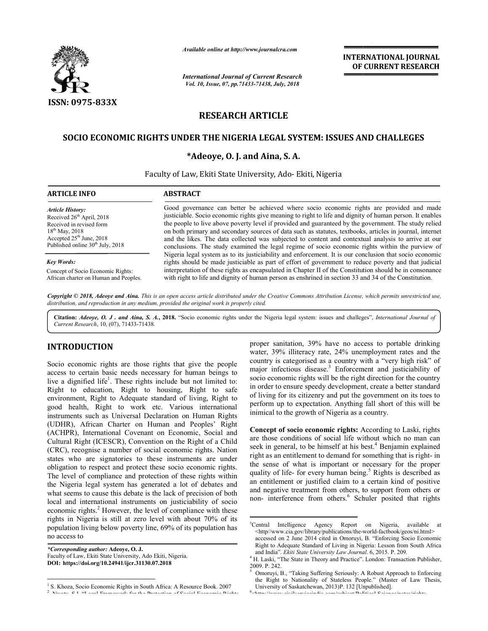

*Available*

## **RESEARCH ARTICLE**

# SOCIO ECONOMIC RIGHTS UNDER THE NIGERIA LEGAL SYSTEM: ISSUES AND CHALLEGES<br>\*Adeoye, O. J. and Aina, S. A.

### **\*Adeoye, O. J. and Aina, S. A.**

|                                                                                                                                                                                                                                                                                                                                                                                                                                                                                                                                                                                                                                                                                                                                                                                                                                                                                                                                                                                          | <b>INTERNATIONAL JOURNAL</b><br>OF CURRENT RESEARCH<br><b>International Journal of Current Research</b><br>Vol. 10, Issue, 07, pp.71433-71438, July, 2018                                                                                                                                                                                                                                                                                                                                                                                                                                                                                                                                                                                                                                                                                                                                                                                                                                                                                                                    |
|------------------------------------------------------------------------------------------------------------------------------------------------------------------------------------------------------------------------------------------------------------------------------------------------------------------------------------------------------------------------------------------------------------------------------------------------------------------------------------------------------------------------------------------------------------------------------------------------------------------------------------------------------------------------------------------------------------------------------------------------------------------------------------------------------------------------------------------------------------------------------------------------------------------------------------------------------------------------------------------|------------------------------------------------------------------------------------------------------------------------------------------------------------------------------------------------------------------------------------------------------------------------------------------------------------------------------------------------------------------------------------------------------------------------------------------------------------------------------------------------------------------------------------------------------------------------------------------------------------------------------------------------------------------------------------------------------------------------------------------------------------------------------------------------------------------------------------------------------------------------------------------------------------------------------------------------------------------------------------------------------------------------------------------------------------------------------|
| Available online at http://www.journalcra.com<br><b>ISSN: 0975-833X</b><br><b>RESEARCH ARTICLE</b><br>*Adeoye, O. J. and Aina, S. A.<br>Faculty of Law, Ekiti State University, Ado- Ekiti, Nigeria<br><b>ARTICLE INFO</b><br><b>ABSTRACT</b><br><b>Article History:</b><br>Received 26 <sup>th</sup> April, 2018<br>Received in revised form<br>$18^{th}$ May, 2018<br>Accepted 25 <sup>th</sup> June, 2018<br>Published online 30 <sup>th</sup> July, 2018<br><b>Key Words:</b><br>Concept of Socio Economic Rights:<br>African charter on Human and Peoples.<br>Copyright © 2018, Adeoye and Aina. This is an open access article distributed under the Creative Commons Attribution License, which permits unrestricted use,<br>distribution, and reproduction in any medium, provided the original work is properly cited.<br>Citation: Adeoye, O. J. and Aina, S. A., 2018. "Socio economic rights under the Nigeria legal system: issues and challeges", International Journal of |                                                                                                                                                                                                                                                                                                                                                                                                                                                                                                                                                                                                                                                                                                                                                                                                                                                                                                                                                                                                                                                                              |
| SOCIO ECONOMIC RIGHTS UNDER THE NIGERIA LEGAL SYSTEM: ISSUES AND CHALLEGES                                                                                                                                                                                                                                                                                                                                                                                                                                                                                                                                                                                                                                                                                                                                                                                                                                                                                                               |                                                                                                                                                                                                                                                                                                                                                                                                                                                                                                                                                                                                                                                                                                                                                                                                                                                                                                                                                                                                                                                                              |
|                                                                                                                                                                                                                                                                                                                                                                                                                                                                                                                                                                                                                                                                                                                                                                                                                                                                                                                                                                                          |                                                                                                                                                                                                                                                                                                                                                                                                                                                                                                                                                                                                                                                                                                                                                                                                                                                                                                                                                                                                                                                                              |
|                                                                                                                                                                                                                                                                                                                                                                                                                                                                                                                                                                                                                                                                                                                                                                                                                                                                                                                                                                                          | Good governance can better be achieved where socio economic rights are provided and made<br>justiciable. Socio economic rights give meaning to right to life and dignity of human person. It enables<br>the people to live above poverty level if provided and guaranteed by the government. The study relied<br>on both primary and secondary sources of data such as statutes, textbooks, articles in journal, internet<br>and the likes. The data collected was subjected to content and contextual analysis to arrive at our<br>conclusions. The study examined the legal regime of socio economic rights within the purview of<br>Nigeria legal system as to its justiciability and enforcement. It is our conclusion that socio economic<br>rights should be made justiciable as part of effort of government to reduce poverty and that judicial<br>interpretation of these rights as encapsulated in Chapter II of the Constitution should be in consonance<br>with right to life and dignity of human person as enshrined in section 33 and 34 of the Constitution. |
|                                                                                                                                                                                                                                                                                                                                                                                                                                                                                                                                                                                                                                                                                                                                                                                                                                                                                                                                                                                          |                                                                                                                                                                                                                                                                                                                                                                                                                                                                                                                                                                                                                                                                                                                                                                                                                                                                                                                                                                                                                                                                              |
|                                                                                                                                                                                                                                                                                                                                                                                                                                                                                                                                                                                                                                                                                                                                                                                                                                                                                                                                                                                          |                                                                                                                                                                                                                                                                                                                                                                                                                                                                                                                                                                                                                                                                                                                                                                                                                                                                                                                                                                                                                                                                              |
|                                                                                                                                                                                                                                                                                                                                                                                                                                                                                                                                                                                                                                                                                                                                                                                                                                                                                                                                                                                          |                                                                                                                                                                                                                                                                                                                                                                                                                                                                                                                                                                                                                                                                                                                                                                                                                                                                                                                                                                                                                                                                              |

Citation: *Adeoye, O. J. and Aina, S. A.*, 2018. "Socio economic rights under the Nigeria legal system: issues and challeges", *International Journal of Current Research*, 10, (07), 71433-71438.

## **INTRODUCTION**

Socio economic rights are those rights that give the people access to certain basic needs necessary for human beings to live a dignified life<sup>1</sup>. These rights include but not limited to: Right to education, Right to housing, Right to safe environment, Right to Adequate standard of living, Right to good health, Right to work etc. Various international instruments such as Universal Declaration on Human Rights (UDHR), African Charter on Human and Peoples' Right (ACHPR), International Covenant on Economic, Social and Cultural Right (ICESCR), Convention on the Right of a Child (CRC), recognise a number of social economic rights. Nation states who are signatories to these instruments are under obligation to respect and protect these socio economic rights. The level of compliance and protection of these rights within the Nigeria legal system has generated a lot of debates and what seems to cause this debate is the lack of precision of both local and international instruments on justiciability of socio economic rights.<sup>2</sup> However, the level of compliance with these rights in Nigeria is still at zero level with about 70% of its population living below poverty line, 69% of its population has no access to Socio economic rights are<br>access to certain basic nee<br>live a dignified life<sup>1</sup>. These<br>Right to education, Rig<br>environment, Right to Ade<br>good health, Right to v<br>instruments such as Univer<br>(UDHR), African Charter **CTION**<br>
water, 39% illiteracy rate, 24% are no access to pertable drinking in<br>
major infections dissease. The forement and isotically the control in the response of a latenty with a "experiment have have the control in t

*\*Corresponding author:* **Adeoye, O. J.**  Faculty of Law, Ekiti State University, Ado Ekiti, Nigeria. **DOI: https://doi.org/10.24941/ijcr.31130.07.2018**

**Concept of socio economic rights:** According to Laski, rights are those conditions of social life without which no man can seek in general, to be himself at his best.<sup>4</sup> Benjamin explained right as an entitlement to demand for something that is right- in the sense of what is important or necessary for the proper the sense of what is important or necessary for the proper quality of life- for every human being.<sup>5</sup> Rights is described as an entitlement or justified claim to a certain kind of positive a and negative treatment from others, to support from others or non- interference from others.<sup>6</sup> Schuler posited that rights

<sup>&</sup>lt;sup>1</sup> S. Khoza, Socio Economic Rights in South Africa: A Resource Book. 2007  $2 N<sub>L</sub>$ Nwatu, S.I. "Legal Framework for the Protection of Social Economic Rights

water, 39% illiteracy rate, 24% unemployment rates and the country is categorised as a country with a "very high risk" of major infectious disease.<sup>3</sup> Enforcement and justiciability of socio economic rights will be the right direction for the country in order to ensure speedy development, create a better standard of living for its citizenry and put the government on its toes to perform up to expectation. Anything fall short of this will be inimical to the growth of Nigeria as a country. proper sanitation, 39% have no access to portable drinking

 $\frac{1}{3}$ <sup>3</sup>Central Intelligence Agency Report on Nigeria, available at <http//www.cia.gov/library/publications/the-world Agency world-factbook/geos/ni.html>

accessed on 2 June 2014 cited in Omoruyi, B. "Enforcing Socio Economic Right to Adequate Standard of Living in Nigeria: Lesson from South Africa and India". Ekiti State University Law Journal. 6, 2015. P. 209.

<sup>&</sup>lt;sup>4</sup> H. Laski, "The State in Theory and Practice". London: Transaction Publisher, 2009. P. 242. 5 H. Laski, "The State in Theory and Practice". London: Transaction Publisher, 09. P. 242.<br>Omoruyi, B., "Taking Suffering Seriously: A Robust Approach to Enforcing<br>the Right to Nationality of Stateless People." (Master of La

Omoruyi, B., "Taking Suffering Seriously: A Robust Approach to Enforcing the Right to Nationality of Stateless People." (Master of Law Thesis, University of Saskatchewan, 2013)P. 132 [Unpublished].

<sup>&</sup>lt;http://www.civilserviceindia.com/subject/Political www.civilsemiesindia.com/subject/Political-Science/notes/rights-<br>-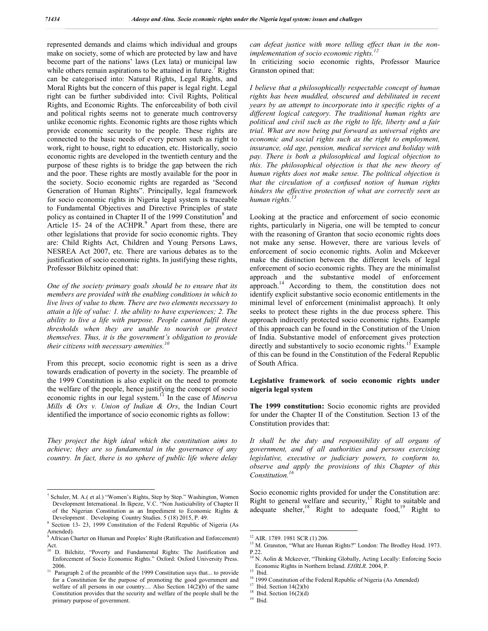represented demands and claims which individual and groups make on society, some of which are protected by law and have become part of the nations' laws (Lex lata) or municipal law while others remain aspirations to be attained in future.<sup>7</sup> Rights can be categorised into: Natural Rights, Legal Rights, and Moral Rights but the concern of this paper is legal right. Legal right can be further subdivided into: Civil Rights, Political Rights, and Economic Rights. The enforceability of both civil and political rights seems not to generate much controversy unlike economic rights. Economic rights are those rights which provide economic security to the people. These rights are connected to the basic needs of every person such as right to work, right to house, right to education, etc. Historically, socio economic rights are developed in the twentieth century and the purpose of these rights is to bridge the gap between the rich and the poor. These rights are mostly available for the poor in the society. Socio economic rights are regarded as 'Second Generation of Human Rights". Principally, legal framework for socio economic rights in Nigeria legal system is traceable to Fundamental Objectives and Directive Principles of state policy as contained in Chapter II of the 1999 Constitution<sup>8</sup> and Article 15- 24 of the  $ACHPR<sup>9</sup>$  Apart from these, there are other legislations that provide for socio economic rights. They are: Child Rights Act, Children and Young Persons Laws, NESREA Act 2007, etc. There are various debates as to the justification of socio economic rights. In justifying these rights, Professor Bilchitz opined that:

*One of the society primary goals should be to ensure that its members are provided with the enabling conditions in which to live lives of value to them. There are two elements necessary to attain a life of value: 1. the ability to have experiences; 2. The ability to live a life with purpose. People cannot fulfil these thresholds when they are unable to nourish or protect themselves. Thus, it is the government's obligation to provide their citizens with necessary amenities.*<sup>1</sup>

From this precept, socio economic right is seen as a drive towards eradication of poverty in the society. The preamble of the 1999 Constitution is also explicit on the need to promote the welfare of the people, hence justifying the concept of socio economic rights in our legal system.<sup>11</sup> In the case of *Minerva Mills & Ors v. Union of Indian & Ors*, the Indian Court identified the importance of socio economic rights as follow:

*They project the high ideal which the constitution aims to achieve; they are so fundamental in the governance of any country. In fact, there is no sphere of public life where delay*  *can defeat justice with more telling effect than in the nonimplementation of socio economic rights.<sup>12</sup>*

In criticizing socio economic rights, Professor Maurice Granston opined that:

*I believe that a philosophically respectable concept of human rights has been muddled, obscured and debilitated in recent years by an attempt to incorporate into it specific rights of a different logical category. The traditional human rights are political and civil such as the right to life, liberty and a fair trial. What are now being put forward as universal rights are economic and social rights such as the right to employment, insurance, old age, pension, medical services and holiday with pay. There is both a philosophical and logical objection to this. The philosophical objection is that the new theory of human rights does not make sense. The political objection is that the circulation of a confused notion of human rights hinders the effective protection of what are correctly seen as human rights.* 

Looking at the practice and enforcement of socio economic rights, particularly in Nigeria, one will be tempted to concur with the reasoning of Granton that socio economic rights does not make any sense. However, there are various levels of enforcement of socio economic rights. Aolin and Mckeever make the distinction between the different levels of legal enforcement of socio economic rights. They are the minimalist approach and the substantive model of enforcement approach.<sup>14</sup> According to them, the constitution does not identify explicit substantive socio economic entitlements in the minimal level of enforcement (minimalist approach). It only seeks to protect these rights in the due process sphere. This approach indirectly protected socio economic rights. Example of this approach can be found in the Constitution of the Union of India. Substantive model of enforcement gives protection directly and substantively to socio economic rights.<sup>15</sup> Example of this can be found in the Constitution of the Federal Republic of South Africa.

#### **Legislative framework of socio economic rights under nigeria legal system**

**The 1999 constitution:** Socio economic rights are provided for under the Chapter II of the Constitution. Section 13 of the Constitution provides that:

*It shall be the duty and responsibility of all organs of government, and of all authorities and persons exercising legislative, executive or judiciary powers, to conform to, observe and apply the provisions of this Chapter of this Constitution.<sup>16</sup>*

Socio economic rights provided for under the Constitution are: Right to general welfare and security, $17$  Right to suitable and adequate shelter,<sup>18</sup> Right to adequate food,<sup>19</sup> Right to

 <sup>7</sup> Schuler, M. A.( et al.) "Women's Rights, Step by Step." Washington, Women Development International. In Ikpeze, V.C. "Non Justiciability of Chapter II of the Nigerian Constitution as an Impediment to Economic Rights &

Development . Developing Country Studies. 5 (18) 2015, P. 49. <sup>8</sup> Section 13- 23, 1999 Constitution of the Federal Republic of Nigeria (As Amended).

<sup>&</sup>lt;sup>9</sup> African Charter on Human and Peoples' Right (Ratification and Enforcement) Act.<br> $10 F$ 

<sup>10</sup> D. Bilchitz, "Poverty and Fundamental Rights: The Justification and Enforcement of Socio Economic Rights." Oxford: Oxford University Press. 2006. 11 Paragraph 2 of the preamble of the 1999 Constitution says that... to provide

for a Constitution for the purpose of promoting the good government and welfare of all persons in our country.... Also Section 14(2)(b) of the same Constitution provides that the security and welfare of the people shall be the primary purpose of government.

<sup>&</sup>lt;sup>12</sup> AIR. 1789. 1981 SCR (1) 206.<br><sup>13</sup> M. Granston, "What are Human Rights?" London: The Brodley Head. 1973. P.22

<sup>14</sup> N. Aolin & Mckeever, "Thinking Globally, Acting Locally: Enforcing Socio<br>Economic Rights in Northern Ireland. *EHRLR*. 2004, P.

<sup>&</sup>lt;sup>15</sup> Ibid.<br><sup>16</sup> 1999 Constitution of the Federal Republic of Nigeria (As Amended)<br><sup>17</sup> Ibid. Section 14(2)(b)<br><sup>18</sup> Ibid. Section 16(2)(d)<br><sup>19</sup> <sup>Ibid</sup>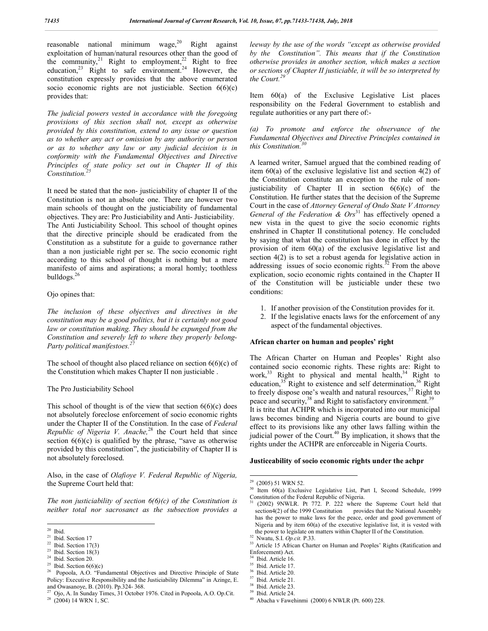reasonable national minimum wage, $^{20}$  Right against exploitation of human/natural resources other than the good of the community,<sup>21</sup> Right to employment,<sup>22</sup> Right to free education,<sup>23</sup> Right to safe environment.<sup>24</sup> However, the constitution expressly provides that the above enumerated socio economic rights are not justiciable. Section  $6(6)(c)$ provides that:

*The judicial powers vested in accordance with the foregoing provisions of this section shall not, except as otherwise provided by this constitution, extend to any issue or question as to whether any act or omission by any authority or person or as to whether any law or any judicial decision is in conformity with the Fundamental Objectives and Directive Principles of state policy set out in Chapter II of this Constitution.<sup>25</sup>*

It need be stated that the non- justiciability of chapter II of the Constitution is not an absolute one. There are however two main schools of thought on the justiciability of fundamental objectives. They are: Pro Justiciability and Anti- Justiciability. The Anti Justiciability School. This school of thought opines that the directive principle should be eradicated from the Constitution as a substitute for a guide to governance rather than a non justiciable right per se. The socio economic right according to this school of thought is nothing but a mere manifesto of aims and aspirations; a moral homly; toothless bulldogs.<sup>26</sup>

#### Ojo opines that:

*The inclusion of these objectives and directives in the constitution may be a good politics, but it is certainly not good law or constitution making. They should be expunged from the Constitution and severely left to where they properly belong-Party political manifestoes.*<sup>2</sup>

The school of thought also placed reliance on section  $6(6)(c)$  of the Constitution which makes Chapter II non justiciable .

#### The Pro Justiciability School

This school of thought is of the view that section  $6(6)(c)$  does not absolutely foreclose enforcement of socio economic rights under the Chapter II of the Constitution. In the case of *Federal Republic of Nigeria V. Anache*,<sup>28</sup> the Court held that since section  $6(6)(c)$  is qualified by the phrase, "save as otherwise provided by this constitution", the justiciability of Chapter II is not absolutely foreclosed.

Also, in the case of *Olafioye V. Federal Republic of Nigeria,* the Supreme Court held that:

*The non justiciability of section 6(6)(c) of the Constitution is neither total nor sacrosanct as the subsection provides a* 

*leeway by the use of the words "except as otherwise provided by the Constitution". This means that if the Constitution otherwise provides in another section, which makes a section or sections of Chapter II justiciable, it will be so interpreted by the Court.<sup>29</sup>*

Item 60(a) of the Exclusive Legislative List places responsibility on the Federal Government to establish and regulate authorities or any part there of:-

#### *(a) To promote and enforce the observance of the Fundamental Objectives and Directive Principles contained in this Constitution.<sup>30</sup>*

A learned writer, Samuel argued that the combined reading of item 60(a) of the exclusive legislative list and section 4(2) of the Constitution constitute an exception to the rule of nonjusticiability of Chapter II in section  $6(6)(c)$  of the Constitution. He further states that the decision of the Supreme Court in the case of *Attorney General of Ondo State V Attorney General of the Federation & Ors*<sup>31</sup> has effectively opened a new vista in the quest to give the socio economic rights enshrined in Chapter II constitutional potency. He concluded by saying that what the constitution has done in effect by the provision of item 60(a) of the exclusive legislative list and section 4(2) is to set a robust agenda for legislative action in addressing issues of socio economic rights. $32$  From the above explication, socio economic rights contained in the Chapter II of the Constitution will be justiciable under these two conditions:

- 1. If another provision of the Constitution provides for it.
- 2. If the legislative enacts laws for the enforcement of any aspect of the fundamental objectives.

#### **African charter on human and peoples' right**

The African Charter on Human and Peoples' Right also contained socio economic rights. These rights are: Right to work, $33$  Right to physical and mental health, $34$  Right to education,<sup>35</sup> Right to existence and self determination,<sup>36</sup> Right to freely dispose one's wealth and natural resources,<sup>37</sup> Right to peace and security,<sup>38</sup> and Right to satisfactory environment.<sup>39</sup> It is trite that ACHPR which is incorporated into our municipal laws becomes binding and Nigeria courts are bound to give effect to its provisions like any other laws falling within the iudicial power of the Court.<sup>40</sup> By implication, it shows that the rights under the ACHPR are enforceable in Nigeria Courts.

#### **Justiceability of socio economic rights under the achpr**

<sup>&</sup>lt;sup>20</sup> Ibid. Section 17<br>
<sup>22</sup> Ibid. Section 17(3)<br>
<sup>23</sup> Ibid. Section 18(3)<br>
<sup>24</sup> Ibid. Section 20.<br>
<sup>25</sup> Ibid. Section 6(6)(c)

<sup>&</sup>lt;sup>26</sup> Popoola, A.O. "Fundamental Objectives and Directive Principle of State Policy: Executive Responsibility and the Justiciability Dilemma" in Azinge, E.<br>and Owasanoye, B. (2010). Pp.324-368.<br><sup>27</sup> Oio, A. In Sunday Time, 22. O. A. In Sunday Time

<sup>&</sup>lt;sup>27</sup> Ojo, A. In Sunday Times,  $\hat{3}1$  October 1976. Cited in Popoola, A.O. Op.Cit. <sup>28</sup> (2004) 14 WRN 1, SC.

<sup>&</sup>lt;sup>29</sup> (2005) 51 WRN 52.<br><sup>30</sup> Item 60(a) Exclusive Legislative List, Part I, Second Schedule, 1999 Constitution of the Federal Republic of Nigeria.

<sup>31</sup> (2002) 9NWLR. Pt 772. P. 222 where the Supreme Court held that section4(2) of the 1999 Constitution provides that the National Assembly has the power to make laws for the peace, order and good government of Nigeria and by item 60(a) of the executive legislative list, it is vested with

the power to legislate on matters within Chapter II of the Constitution.<br><sup>32</sup> Nwatu, S.I. *Op.cit.* **P.33**. 33 Article 15 African Charter on Human and Peoples' Rights (Ratification and Enforcement) Act.<br> $34 \text{ Heid}$  Article 16

 $35$  Ibid. Article 16.<br> $35$  Ibid. Article 17.

<sup>&</sup>lt;sup>36</sup> Ibid. Article 20.<br><sup>37</sup> Ibid. Article 21.<br><sup>38</sup> Ibid. Article 23.<br><sup>40</sup> Abacha v Fawehinmi (2000) 6 NWLR (Pt. 600) 228.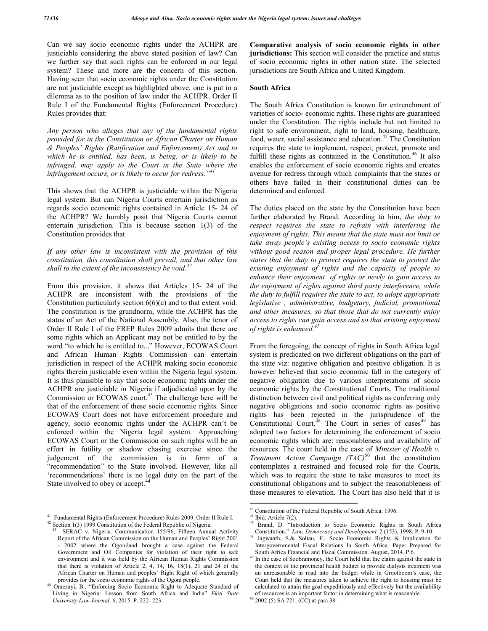Can we say socio economic rights under the ACHPR are justiciable considering the above stated position of law? Can we further say that such rights can be enforced in our legal system? These and more are the concern of this section. Having seen that socio economic rights under the Constitution are not justiciable except as highlighted above, one is put in a dilemma as to the position of law under the ACHPR. Order II Rule I of the Fundamental Rights (Enforcement Procedure) Rules provides that:

*Any person who alleges that any of the fundamental rights provided for in the Constitution or African Charter on Human & Peoples' Rights (Ratification and Enforcement) Act and to which he is entitled, has been, is being, or is likely to be infringed, may apply to the Court in the State where the infringement occurs, or is likely to occur for redress."<sup>41</sup>*

This shows that the ACHPR is justiciable within the Nigeria legal system. But can Nigeria Courts entertain jurisdiction as regards socio economic rights contained in Article 15- 24 of the ACHPR? We humbly posit that Nigeria Courts cannot entertain jurisdiction. This is because section 1(3) of the Constitution provides that

*If any other law is inconsistent with the provision of this constitution, this constitution shall prevail, and that other law shall to the extent of the inconsistency be void.<sup>42</sup>*

From this provision, it shows that Articles 15- 24 of the ACHPR are inconsistent with the provisions of the Constitution particularly section 6(6)(c) and to that extent void. The constitution is the grundnorm, while the ACHPR has the status of an Act of the National Assembly. Also, the tenor of Order II Rule I of the FREP Rules 2009 admits that there are some rights which an Applicant may not be entitled to by the word "to which he is entitled to..." However, ECOWAS Court and African Human Rights Commission can entertain jurisdiction in respect of the ACHPR making socio economic rights therein justiciable even within the Nigeria legal system. It is thus plausible to say that socio economic rights under the ACHPR are justiciable in Nigeria if adjudicated upon by the Commission or ECOWAS court.<sup>43</sup> The challenge here will be that of the enforcement of these socio economic rights. Since ECOWAS Court does not have enforcement procedure and agency, socio economic rights under the ACHPR can't be enforced within the Nigeria legal system. Approaching ECOWAS Court or the Commission on such rights will be an effort in futility or shadow chasing exercise since the judgement of the commission is in form of a "recommendation" to the State involved. However, like all 'recommendations' there is no legal duty on the part of the State involved to obey or accept.<sup>44</sup>

**Comparative analysis of socio economic rights in other jurisdictions:** This section will consider the practice and status of socio economic rights in other nation state. The selected jurisdictions are South Africa and United Kingdom.

#### **South Africa**

The South Africa Constitution is known for entrenchment of varieties of socio- economic rights. These rights are guaranteed under the Constitution. The rights include but not limited to right to safe environment, right to land, housing, healthcare, food, water, social assistance and education.<sup>45</sup> The Constitution requires the state to implement, respect, protect, promote and fulfill these rights as contained in the Constitution.<sup>46</sup> It also enables the enforcement of socio economic rights and creates avenue for redress through which complaints that the states or others have failed in their constitutional duties can be determined and enforced.

The duties placed on the state by the Constitution have been further elaborated by Brand. According to him, *the duty to*  respect requires the state to refrain with interfering the *enjoyment of rights. This means that the state must not limit or take away people's existing access to socio economic rights without good reason and proper legal procedure. He further states that the duty to protect requires the state to protect the existing enjoyment of rights and the capacity of people to enhance their enjoyment of rights or newly to gain access to the enjoyment of rights against third party interference, while the duty to fulfill requires the state to act, to adopt appropriate legislative , administrative, budgetary, judicial, promotional and other measures, so that those that do not currently enjoy access to rights can gain access and so that existing enjoyment of rights is enhanced.<sup>47</sup>*

From the foregoing, the concept of rights in South Africa legal system is predicated on two different obligations on the part of the state viz: negative obligation and positive obligation. It is however believed that socio economic fall in the category of negative obligation due to various interpretations of socio economic rights by the Constitutional Courts. The traditional distinction between civil and political rights as conferring only negative obligations and socio economic rights as positive rights has been rejected in the jurisprudence of the Constitutional Court. $48$  The Court in series of cases<sup>49</sup> has adopted two factors for determining the enforcement of socio economic rights which are: reasonableness and availability of resources. The court held in the case of *Minister of Health v. Treatment Action Campaign (TAC)*<sup>50</sup> that the constitution contemplates a restrained and focused role for the Courts, which was to require the state to take measures to meet its constitutional obligations and to subject the reasonableness of these measures to elevation. The Court has also held that it is

<sup>&</sup>lt;sup>41</sup> Fundamental Rights (Enforcement Procedure) Rules 2009. Order II Rule I.  $^{42}$  Section 1(3) 1999 Constitution of the Federal Republic of Nigeria.

SERAC v. Nigeria. Communication 155/96, Fifteen Annual Activity Report of the African Commission on the Human and Peoples' Right 2001 - 2002 where the Ogoniland brought a case against the Federal Government and Oil Companies for violation of their right to safe environment and it was held by the African Human Rights Commission that there is violation of Article 2, 4, 14, 16, 18(1), 21 and 24 of the African Charter on Human and peoples' Right Right of which generally

provides for the socio economic rights of the Ogoni people. <sup>44</sup> Omoruyi, B., "Enforcing Socio Economic Right to Adequate Standard of Living in Nigeria: Lesson from South Africa and India" *Ekiti State University Law Journal*. 6, 2015. P. 222- 223.

<sup>&</sup>lt;sup>45</sup> Constitution of the Federal Republic of South Africa. 1996.<br><sup>46</sup> Ibid. Article 7(2).<br><sup>47</sup> Brand, D. "Introduction to Socio Economic Rights in South Africa<br>Constitution." *Law, Democracy and Development*. 2 (153), 199

Jagwanth, S.& Soltau, F.. Socio Economic Rights & Implication for Intergovernmental Fiscal Relations In South Africa. Paper Prepared for

South Africa Financial and Fiscal Commission. August, 2014. P.6. <sup>49</sup> In the case of Soobramoney, the Court held that the claim against the state in the context of the provincial health budget to provide dialysis treatment was an unreasonable in road into the budget while in Grootboom's case, the Court held that the measures taken to achieve the right to housing must be calculated to attain the goal expeditiously and effectively but the availability of resources is an important factor in determining what is reasonable. <sup>50</sup> 2002 (5) SA 721. (CC) at para 38.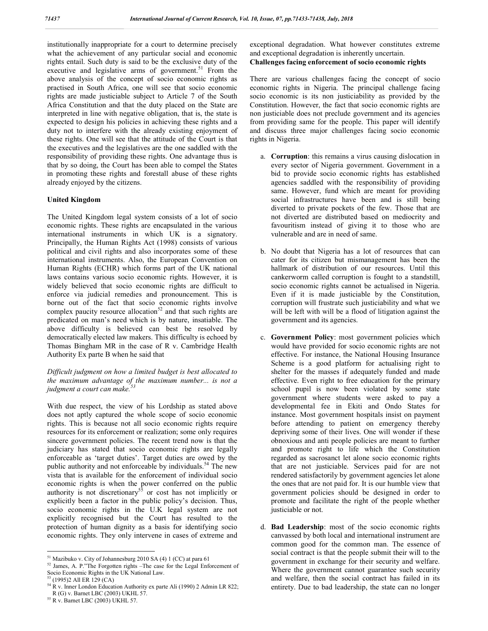institutionally inappropriate for a court to determine precisely what the achievement of any particular social and economic rights entail. Such duty is said to be the exclusive duty of the executive and legislative arms of government.<sup>51</sup> From the above analysis of the concept of socio economic rights as practised in South Africa, one will see that socio economic rights are made justiciable subject to Article 7 of the South Africa Constitution and that the duty placed on the State are interpreted in line with negative obligation, that is, the state is expected to design his policies in achieving these rights and a duty not to interfere with the already existing enjoyment of these rights. One will see that the attitude of the Court is that the executives and the legislatives are the one saddled with the responsibility of providing these rights. One advantage thus is that by so doing, the Court has been able to compel the States in promoting these rights and forestall abuse of these rights already enjoyed by the citizens.

#### **United Kingdom**

The United Kingdom legal system consists of a lot of socio economic rights. These rights are encapsulated in the various international instruments in which UK is a signatory. Principally, the Human Rights Act (1998) consists of various political and civil rights and also incorporates some of these international instruments. Also, the European Convention on Human Rights (ECHR) which forms part of the UK national laws contains various socio economic rights. However, it is widely believed that socio economic rights are difficult to enforce via judicial remedies and pronouncement. This is borne out of the fact that socio economic rights involve complex paucity resource allocation<sup>52</sup> and that such rights are predicated on man's need which is by nature, insatiable. The above difficulty is believed can best be resolved by democratically elected law makers. This difficulty is echoed by Thomas Bingham MR in the case of R v. Cambridge Health Authority Ex parte B when he said that

#### *Difficult judgment on how a limited budget is best allocated to the maximum advantage of the maximum number... is not a judgment a court can make.<sup>53</sup>*

With due respect, the view of his Lordship as stated above does not aptly captured the whole scope of socio economic rights. This is because not all socio economic rights require resources for its enforcement or realization; some only requires sincere government policies. The recent trend now is that the judiciary has stated that socio economic rights are legally enforceable as 'target duties'. Target duties are owed by the public authority and not enforceable by individuals.<sup>54</sup> The new vista that is available for the enforcement of individual socio economic rights is when the power conferred on the public authority is not discretionary<sup>55</sup> or cost has not implicitly or explicitly been a factor in the public policy's decision. Thus, socio economic rights in the U.K legal system are not explicitly recognised but the Court has resulted to the protection of human dignity as a basis for identifying socio economic rights. They only intervene in cases of extreme and

exceptional degradation. What however constitutes extreme and exceptional degradation is inherently uncertain. **Challenges facing enforcement of socio economic rights**

There are various challenges facing the concept of socio economic rights in Nigeria. The principal challenge facing socio economic is its non justiciability as provided by the Constitution. However, the fact that socio economic rights are non justiciable does not preclude government and its agencies from providing same for the people. This paper will identify and discuss three major challenges facing socio economic rights in Nigeria.

- a. **Corruption**: this remains a virus causing dislocation in every sector of Nigeria government. Government in a bid to provide socio economic rights has established agencies saddled with the responsibility of providing same. However, fund which are meant for providing social infrastructures have been and is still being diverted to private pockets of the few. Those that are not diverted are distributed based on mediocrity and favouritism instead of giving it to those who are vulnerable and are in need of same.
- b. No doubt that Nigeria has a lot of resources that can cater for its citizen but mismanagement has been the hallmark of distribution of our resources. Until this cankerworm called corruption is fought to a standstill, socio economic rights cannot be actualised in Nigeria. Even if it is made justiciable by the Constitution, corruption will frustrate such justiciability and what we will be left with will be a flood of litigation against the government and its agencies.
- c. **Government Policy**: most government policies which would have provided for socio economic rights are not effective. For instance, the National Housing Insurance Scheme is a good platform for actualising right to shelter for the masses if adequately funded and made effective. Even right to free education for the primary school pupil is now been violated by some state government where students were asked to pay a developmental fee in Ekiti and Ondo States for instance. Most government hospitals insist on payment before attending to patient on emergency thereby depriving some of their lives. One will wonder if these obnoxious and anti people policies are meant to further and promote right to life which the Constitution regarded as sacrosanct let alone socio economic rights that are not justiciable. Services paid for are not rendered satisfactorily by government agencies let alone the ones that are not paid for. It is our humble view that government policies should be designed in order to promote and facilitate the right of the people whether justiciable or not.
- d. **Bad Leadership**: most of the socio economic rights canvassed by both local and international instrument are common good for the common man. The essence of social contract is that the people submit their will to the government in exchange for their security and welfare. Where the government cannot guarantee such security and welfare, then the social contract has failed in its entirety. Due to bad leadership, the state can no longer

 <sup>51</sup> Mazibuko v. City of Johannesburg 2010 SA (4) 1 (CC) at para 61

<sup>&</sup>lt;sup>52</sup> James, A. P."The Forgotten rights –The case for the Legal Enforcement of Socio Economic Rights in the UK National Law.

<sup>&</sup>lt;sup>53</sup> (1995)2 All ER 129 (CA)<br><sup>54</sup> R v. Inner London Education Authority ex parte Ali (1990) 2 Admin LR 822;<br>R (G) v. Barnet LBC (2003) UKHL 57.

 $55$  R v. Barnet LBC (2003) UKHL 57.